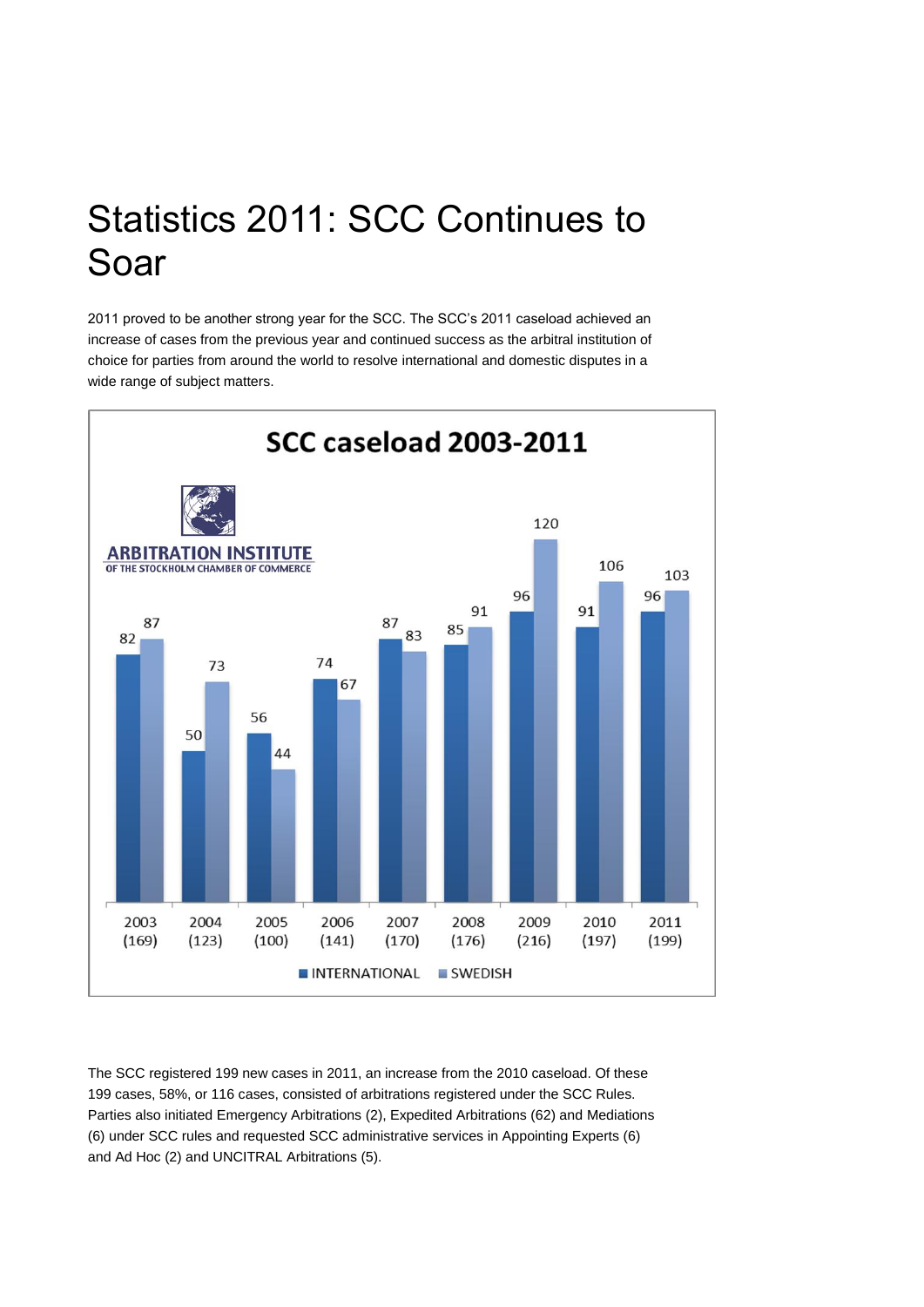## Statistics 2011: SCC Continues to Soar

2011 proved to be another strong year for the SCC. The SCC's 2011 caseload achieved an increase of cases from the previous year and continued success as the arbitral institution of choice for parties from around the world to resolve international and domestic disputes in a wide range of subject matters.



The SCC registered 199 new cases in 2011, an increase from the 2010 caseload. Of these 199 cases, 58%, or 116 cases, consisted of arbitrations registered under the SCC Rules. Parties also initiated Emergency Arbitrations (2), Expedited Arbitrations (62) and Mediations (6) under SCC rules and requested SCC administrative services in Appointing Experts (6) and Ad Hoc (2) and UNCITRAL Arbitrations (5).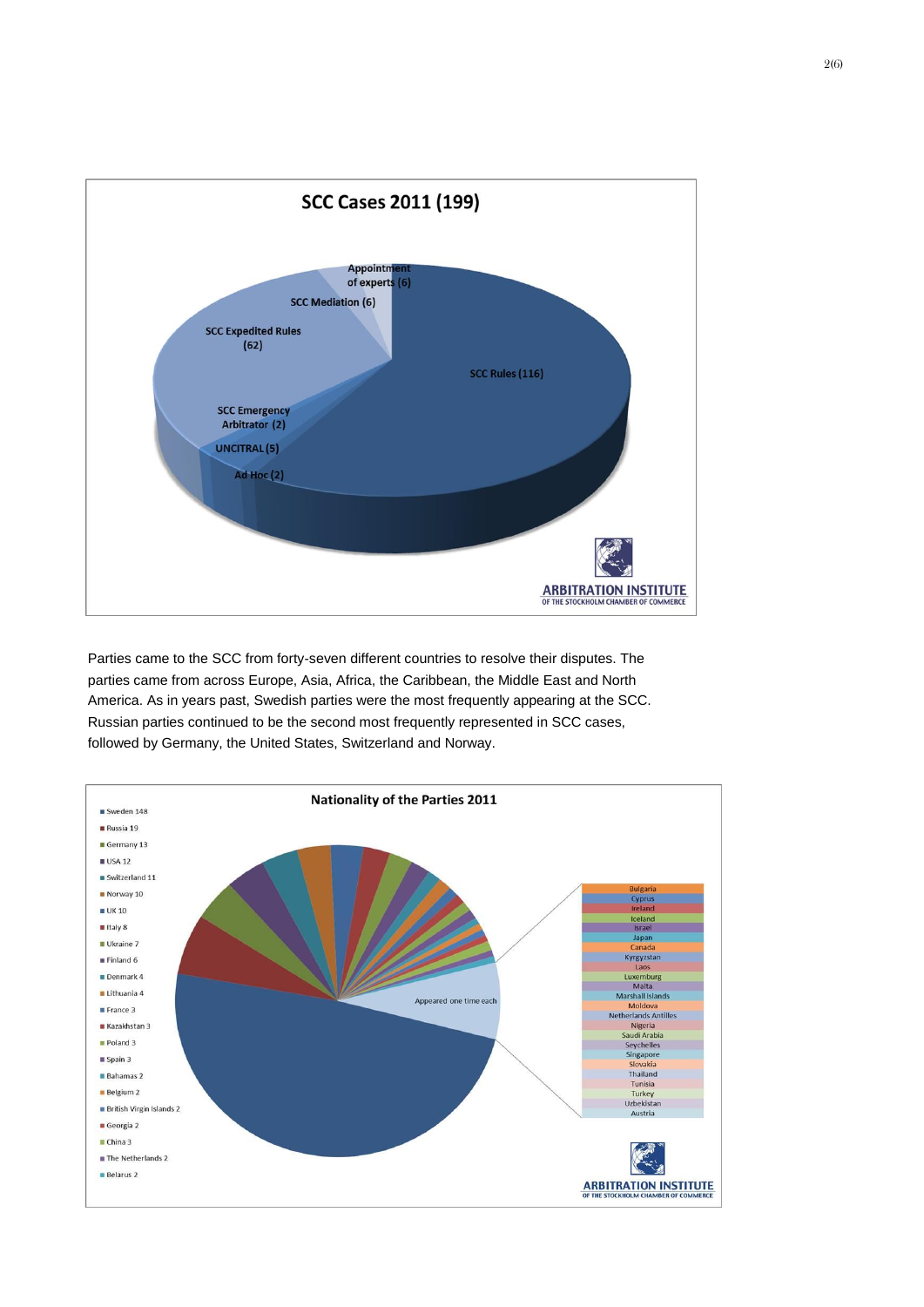

Parties came to the SCC from forty-seven different countries to resolve their disputes. The parties came from across Europe, Asia, Africa, the Caribbean, the Middle East and North America. As in years past, Swedish parties were the most frequently appearing at the SCC. Russian parties continued to be the second most frequently represented in SCC cases, followed by Germany, the United States, Switzerland and Norway.

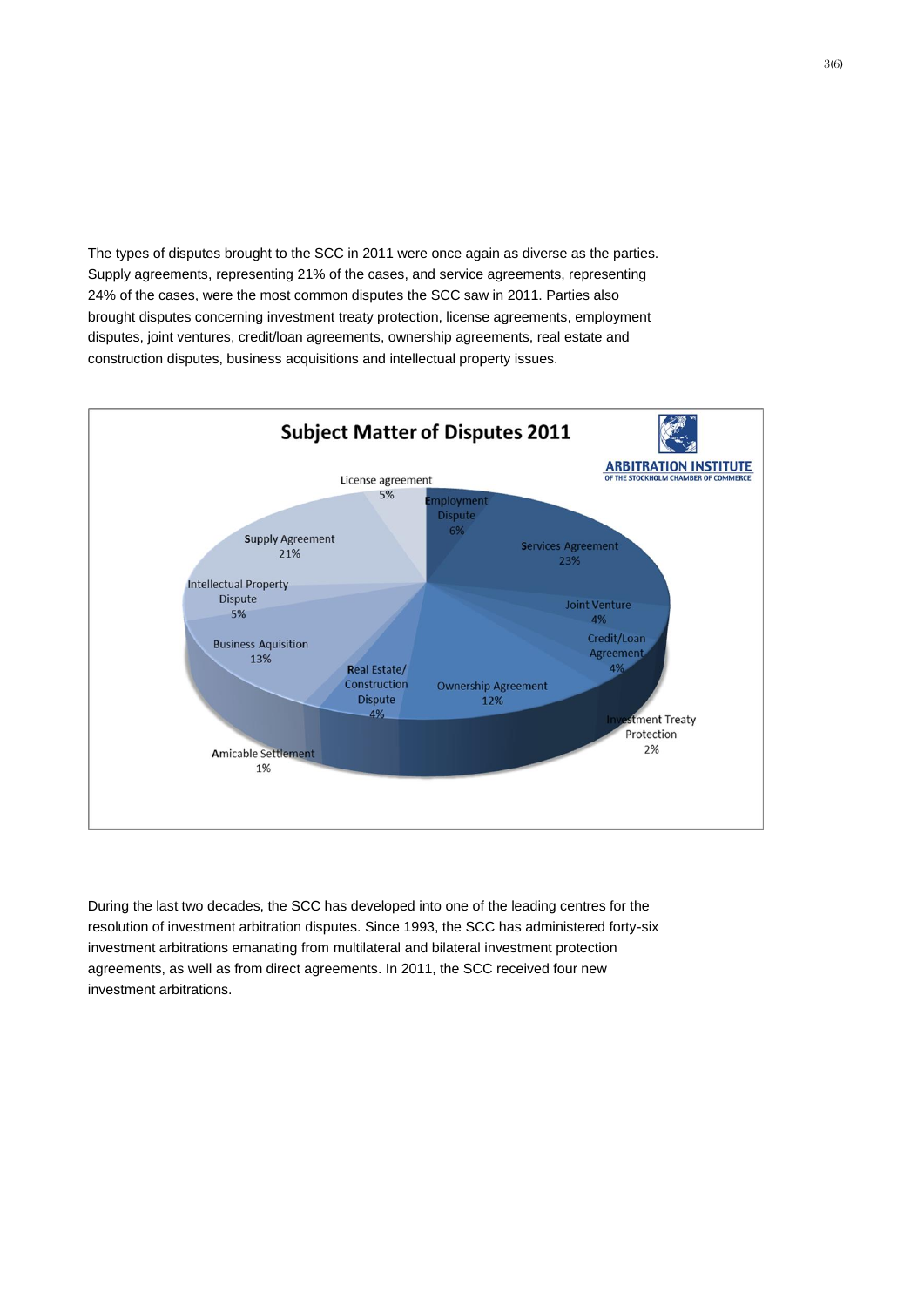The types of disputes brought to the SCC in 2011 were once again as diverse as the parties. Supply agreements, representing 21% of the cases, and service agreements, representing 24% of the cases, were the most common disputes the SCC saw in 2011. Parties also brought disputes concerning investment treaty protection, license agreements, employment disputes, joint ventures, credit/loan agreements, ownership agreements, real estate and construction disputes, business acquisitions and intellectual property issues.



During the last two decades, the SCC has developed into one of the leading centres for the resolution of investment arbitration disputes. Since 1993, the SCC has administered forty-six investment arbitrations emanating from multilateral and bilateral investment protection agreements, as well as from direct agreements. In 2011, the SCC received four new investment arbitrations.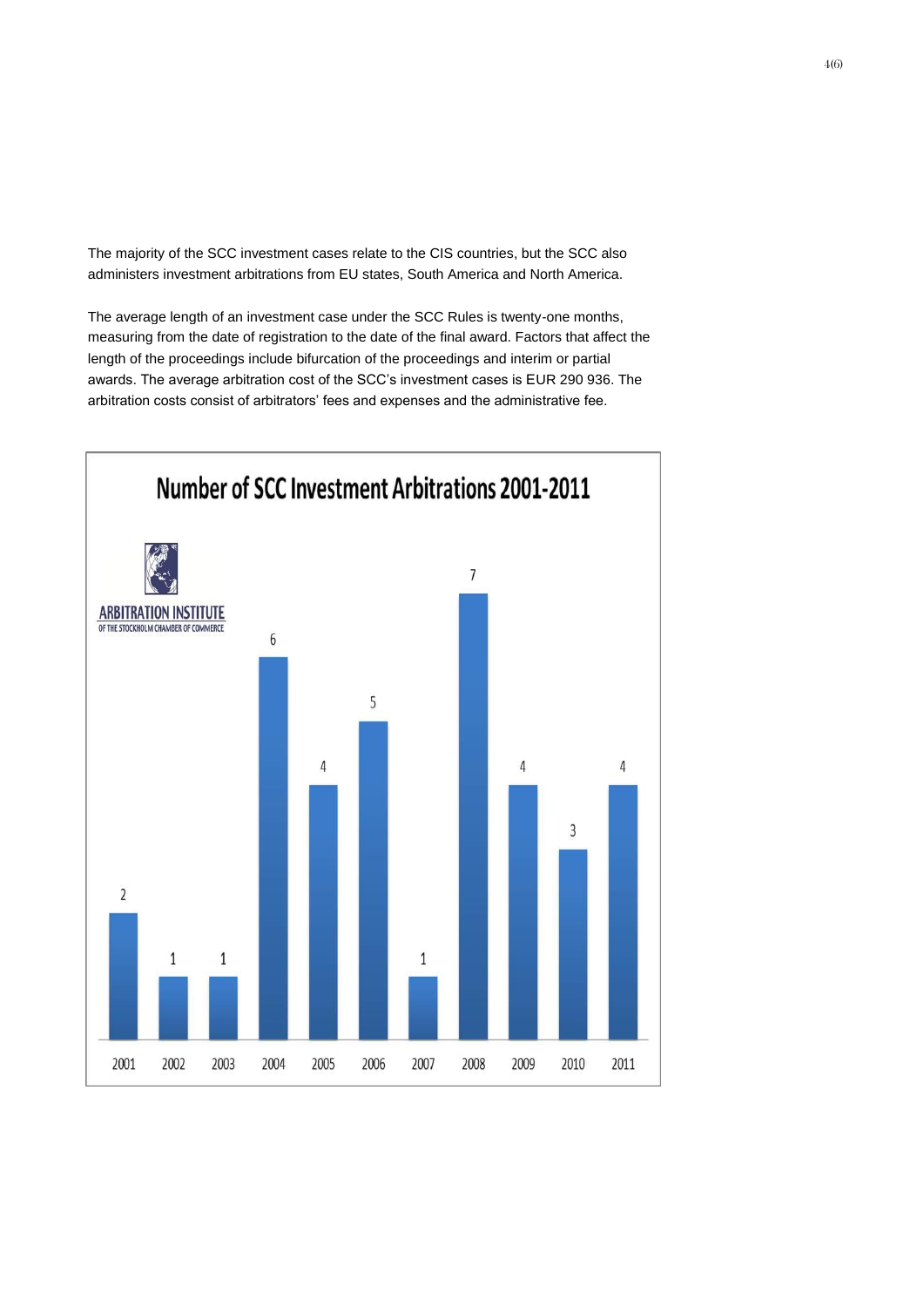The majority of the SCC investment cases relate to the CIS countries, but the SCC also administers investment arbitrations from EU states, South America and North America.

The average length of an investment case under the SCC Rules is twenty-one months, measuring from the date of registration to the date of the final award. Factors that affect the length of the proceedings include bifurcation of the proceedings and interim or partial awards. The average arbitration cost of the SCC's investment cases is EUR 290 936. The arbitration costs consist of arbitrators' fees and expenses and the administrative fee.

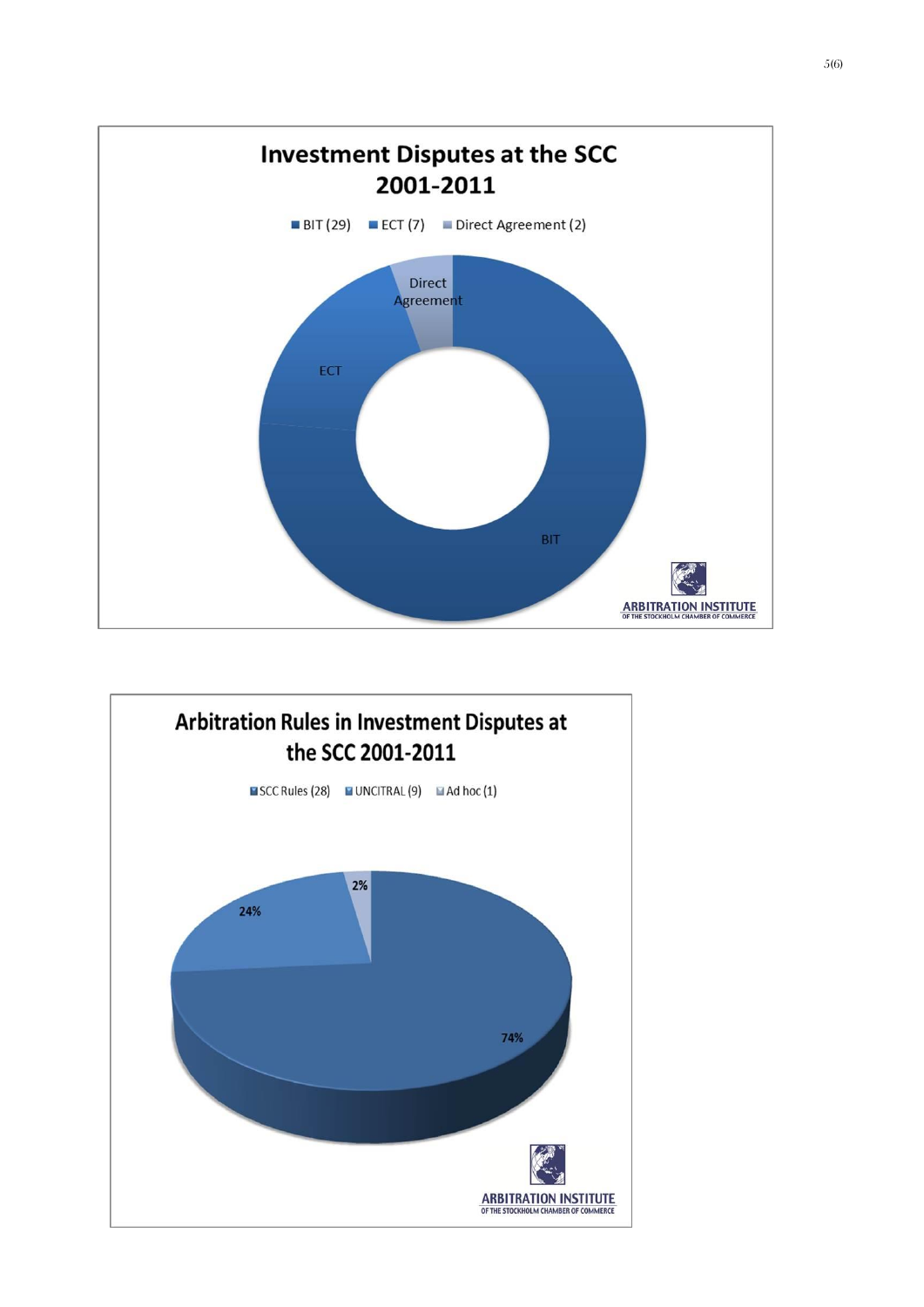